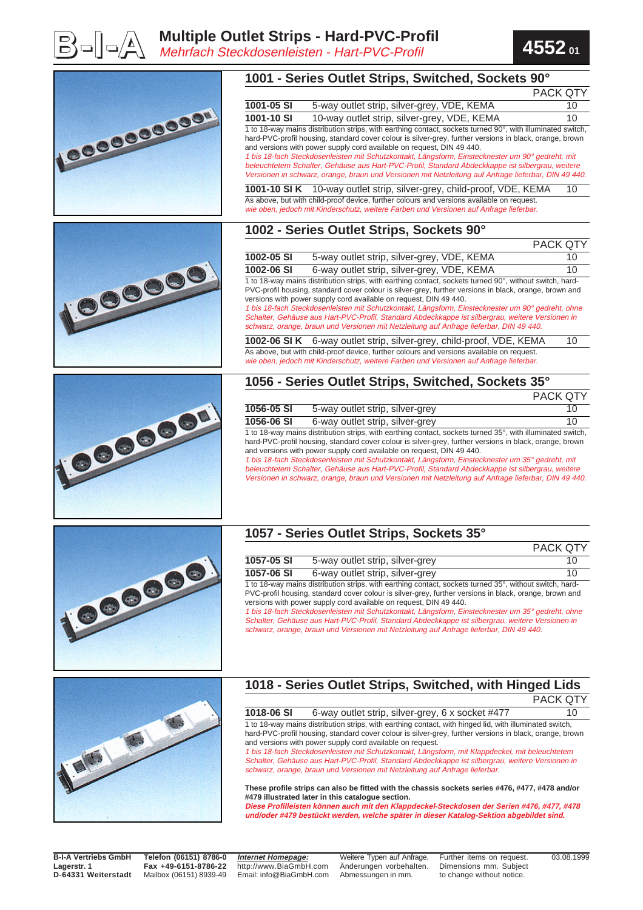







#### **1057 - Series Outlet Strips, Sockets 35°**

|                                                                                                         |                                 | <b>PACK QTY</b> |
|---------------------------------------------------------------------------------------------------------|---------------------------------|-----------------|
| 1057-05 SI                                                                                              | 5-way outlet strip, silver-grey | 10              |
| 1057-06 SI                                                                                              | 6-way outlet strip, silver-grey | 10              |
| 1 to 18-way mains distribution strips, with earthing contact, sockets turned 35°, without switch, hard- |                                 |                 |

PVC-profil housing, standard cover colour is silver-grey, further versions in black, orange, brown and versions with power supply cord available on request, DIN 49 440.

1 bis 18-fach Steckdosenleisten mit Schutzkontakt, Längsform, Einstecknester um 35° gedreht, ohne Schalter, Gehäuse aus Hart-PVC-Profil, Standard Abdeckkappe ist silbergrau, weitere Versionen in schwarz, orange, braun und Versionen mit Netzleitung auf Anfrage lieferbar, DIN 49 440.



# **1018 - Series Outlet Strips, Switched, with Hinged Lids**

**1018-06 SI** 6-way outlet strip, silver-grey, 6 x socket #477 10 1 to 18-way mains distribution strips, with earthing contact, with hinged lid, with illuminated switch, hard-PVC-profil housing, standard cover colour is silver-grey, further versions in black, orange, brown and versions with power supply cord available on request.

1 bis 18-fach Steckdosenleisten mit Schutzkontakt, Längsform, mit Klappdeckel, mit beleuchtetem Schalter, Gehäuse aus Hart-PVC-Profil, Standard Abdeckkappe ist silbergrau, weitere Versionen in schwarz, orange, braun und Versionen mit Netzleitung auf Anfrage lieferbar.

**These profile strips can also be fitted with the chassis sockets series #476, #477, #478 and/or #479 illustrated later in this catalogue section.**

**Diese Profilleisten können auch mit den Klappdeckel-Steckdosen der Serien #476, #477, #478 und/oder #479 bestückt werden, welche später in dieser Katalog-Sektion abgebildet sind.**

**B-I-A Vertriebs GmbH Lagerstr. 1 D-64331 Weiterstadt** **Telefon (06151) 8786-0 Fax +49-6151-8786-22** Mailbox (06151) 8939-49

**Internet Homepage:** http://www.BiaGmbH.com Email: info@BiaGmbH.com

Weitere Typen auf Anfrage. Änderungen vorbehalten. Abmessungen in mm.

Further items on request. Dimensions mm. Subject to change without notice.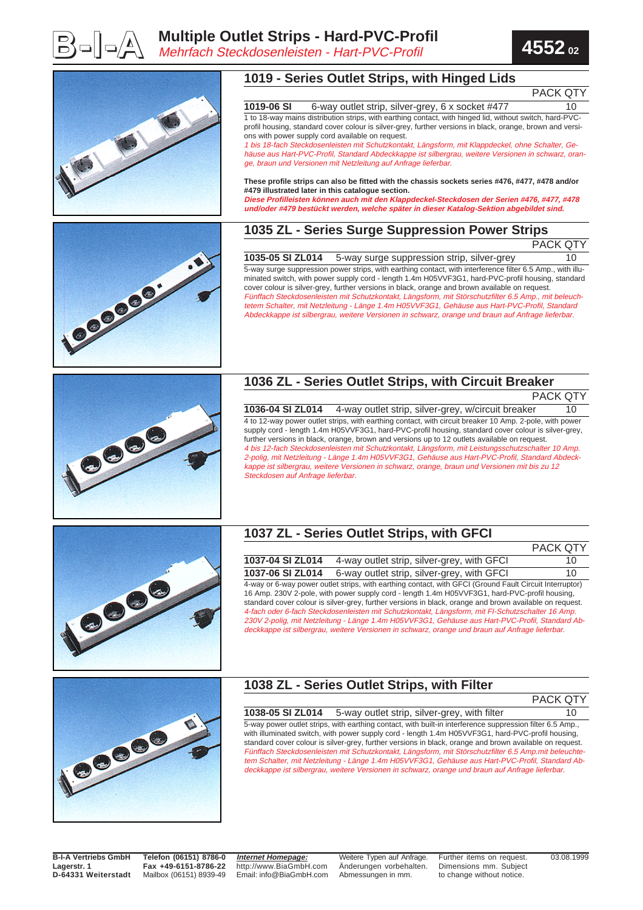





#### **1019 - Series Outlet Strips, with Hinged Lids**

PACK QTY

**1019-06 SI** 6-way outlet strip, silver-grey, 6 x socket #477 10 1 to 18-way mains distribution strips, with earthing contact, with hinged lid, without switch, hard-PVCprofil housing, standard cover colour is silver-grey, further versions in black, orange, brown and versi-

1 bis 18-fach Steckdosenleisten mit Schutzkontakt, Längsform, mit Klappdeckel, ohne Schalter, Gehäuse aus Hart-PVC-Profil, Standard Abdeckkappe ist silbergrau, weitere Versionen in schwarz, orange, braun und Versionen mit Netzleitung auf Anfrage lieferbar.

## **These profile strips can also be fitted with the chassis sockets series #476, #477, #478 and/or**

**Diese Profilleisten können auch mit den Klappdeckel-Steckdosen der Serien #476, #477, #478 und/oder #479 bestückt werden, welche später in dieser Katalog-Sektion abgebildet sind.**

### **1035 ZL - Series Surge Suppression Power Strips**

| ۰. |  |  |  |
|----|--|--|--|
|    |  |  |  |

**1035-05 SI ZL014** 5-way surge suppression strip, silver-grey 10 5-way surge suppression power strips, with earthing contact, with interference filter 6.5 Amp., with illuminated switch, with power supply cord - length 1.4m H05VVF3G1, hard-PVC-profil housing, standard cover colour is silver-grey, further versions in black, orange and brown available on request. Fünffach Steckdosenleisten mit Schutzkontakt, Längsform, mit Störschutzfilter 6.5 Amp., mit beleuchtetem Schalter, mit Netzleitung - Länge 1.4m H05VVF3G1, Gehäuse aus Hart-PVC-Profil, Standard Abdeckkappe ist silbergrau, weitere Versionen in schwarz, orange und braun auf Anfrage lieferbar.



### **1036 ZL - Series Outlet Strips, with Circuit Breaker**

**1036-04 SI ZL014** 4-way outlet strip, silver-grey, w/circuit breaker 10 4 to 12-way power outlet strips, with earthing contact, with circuit breaker 10 Amp. 2-pole, with power supply cord - length 1.4m H05VVF3G1, hard-PVC-profil housing, standard cover colour is silver-grey, further versions in black, orange, brown and versions up to 12 outlets available on request. 4 bis 12-fach Steckdosenleisten mit Schutzkontakt, Längsform, mit Leistungsschutzschalter 10 Amp. 2-polig, mit Netzleitung - Länge 1.4m H05VVF3G1, Gehäuse aus Hart-PVC-Profil, Standard Abdeckkappe ist silbergrau, weitere Versionen in schwarz, orange, braun und Versionen mit bis zu 12 Steckdosen auf Anfrage lieferbar.



#### **1037 ZL - Series Outlet Strips, with GFCI**

|                                                                                                         |                                            | <b>PACK QTY</b> |  |
|---------------------------------------------------------------------------------------------------------|--------------------------------------------|-----------------|--|
| 1037-04 SI ZL014                                                                                        | 4-way outlet strip, silver-grey, with GFCI | 10              |  |
| 1037-06 SI ZL014                                                                                        | 6-way outlet strip, silver-grey, with GFCI | 10              |  |
| 4-way or 6-way power outlet strips, with earthing contact, with GFCI (Ground Fault Circuit Interruptor) |                                            |                 |  |
| 16 Amp. 230V 2-pole, with power supply cord - length 1.4m H05VVF3G1, hard-PVC-profil housing,           |                                            |                 |  |
| standard cover colour is silver-grey, further versions in black, orange and brown available on request. |                                            |                 |  |
| 4-fach oder 6-fach Steckdosenleisten mit Schutzkontakt, Längsform, mit FI-Schutzschalter 16 Amp.        |                                            |                 |  |
| 230V 2-polig, mit Netzleitung - Länge 1.4m H05VVF3G1, Gehäuse aus Hart-PVC-Profil, Standard Ab-         |                                            |                 |  |
| deckkappe ist silbergrau, weitere Versionen in schwarz, orange und braun auf Anfrage lieferbar.         |                                            |                 |  |



## **1038 ZL - Series Outlet Strips, with Filter**

| <b>PACK QTY</b> |  |
|-----------------|--|
|-----------------|--|

**1038-05 SI ZL014** 5-way outlet strip, silver-grey, with filter 10 5-way power outlet strips, with earthing contact, with built-in interference suppression filter 6.5 Amp., with illuminated switch, with power supply cord - length 1.4m H05VVF3G1, hard-PVC-profil housing, standard cover colour is silver-grey, further versions in black, orange and brown available on request. Fünffach Steckdosenleisten mit Schutzkontakt, Längsform, mit Störschutzfilter 6.5 Amp.mit beleuchtetem Schalter, mit Netzleitung - Länge 1.4m H05VVF3G1, Gehäuse aus Hart-PVC-Profil, Standard Abdeckkappe ist silbergrau, weitere Versionen in schwarz, orange und braun auf Anfrage lieferbar.

**B-I-A Vertriebs GmbH Lagerstr. 1 D-64331 Weiterstadt**

**Telefon (06151) 8786-0 Fax +49-6151-8786-22** Mailbox (06151) 8939-49

**Internet Homepage:** http://www.BiaGmbH.com Email: info@BiaGmbH.com

Weitere Typen auf Anfrage. Änderungen vorbehalten. Abmessungen in mm.

Further items on request. Dimensions mm. Subject to change without notice.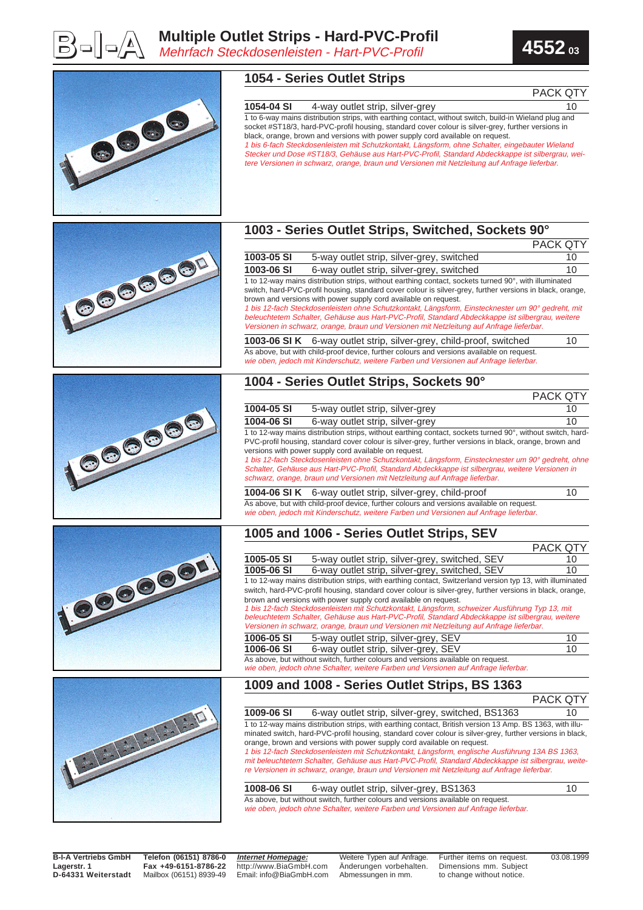





**B-I-A Vertriebs GmbH Lagerstr. 1 D-64331 Weiterstadt**

**Telefon (06151) 8786-0 Fax +49-6151-8786-22** Mailbox (06151) 8939-49 **Internet Homepage:** http://www.BiaGmbH.com Email: info@BiaGmbH.com

Weitere Typen auf Anfrage. Änderungen vorbehalten. Abmessungen in mm.

Further items on request. Dimensions mm. Subject to change without notice.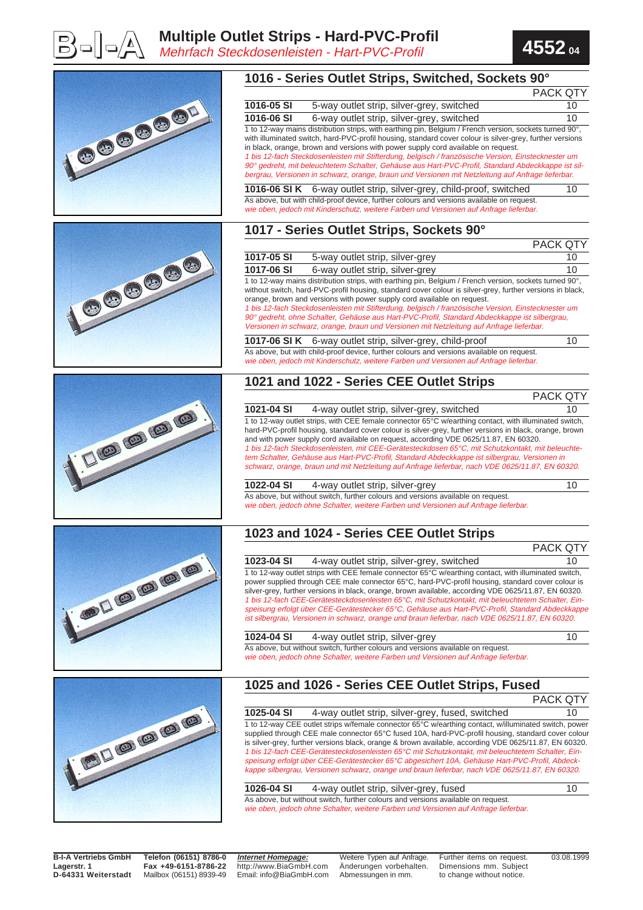



|                                                                                                                                                                                                                                                                                                                                                                                                                                                                            |            | 1016 - Series Outlet Strips, Switched, Sockets 90°                                                                                                                                                                                                                                                                                                                                                                                                                                                                                                                                                                                                                                 |          |
|----------------------------------------------------------------------------------------------------------------------------------------------------------------------------------------------------------------------------------------------------------------------------------------------------------------------------------------------------------------------------------------------------------------------------------------------------------------------------|------------|------------------------------------------------------------------------------------------------------------------------------------------------------------------------------------------------------------------------------------------------------------------------------------------------------------------------------------------------------------------------------------------------------------------------------------------------------------------------------------------------------------------------------------------------------------------------------------------------------------------------------------------------------------------------------------|----------|
|                                                                                                                                                                                                                                                                                                                                                                                                                                                                            |            |                                                                                                                                                                                                                                                                                                                                                                                                                                                                                                                                                                                                                                                                                    | PACK QTY |
|                                                                                                                                                                                                                                                                                                                                                                                                                                                                            | 1016-05 SI | 5-way outlet strip, silver-grey, switched                                                                                                                                                                                                                                                                                                                                                                                                                                                                                                                                                                                                                                          | 10       |
|                                                                                                                                                                                                                                                                                                                                                                                                                                                                            | 1016-06 SI | 6-way outlet strip, silver-grey, switched                                                                                                                                                                                                                                                                                                                                                                                                                                                                                                                                                                                                                                          | 10       |
| ICOGSGOD                                                                                                                                                                                                                                                                                                                                                                                                                                                                   |            | 1 to 12-way mains distribution strips, with earthing pin, Belgium / French version, sockets turned 90°,<br>with illuminated switch, hard-PVC-profil housing, standard cover colour is silver-grey, further versions<br>in black, orange, brown and versions with power supply cord available on request.<br>1 bis 12-fach Steckdosenleisten mit Stifterdung, belgisch / französische Version, Einstecknester um<br>90° gedreht, mit beleuchtetem Schalter, Gehäuse aus Hart-PVC-Profil, Standard Abdeckkappe ist sil-                                                                                                                                                              |          |
|                                                                                                                                                                                                                                                                                                                                                                                                                                                                            |            | bergrau, Versionen in schwarz, orange, braun und Versionen mit Netzleitung auf Anfrage lieferbar.                                                                                                                                                                                                                                                                                                                                                                                                                                                                                                                                                                                  |          |
|                                                                                                                                                                                                                                                                                                                                                                                                                                                                            |            | 1016-06 SI K 6-way outlet strip, silver-grey, child-proof, switched<br>As above, but with child-proof device, further colours and versions available on request.                                                                                                                                                                                                                                                                                                                                                                                                                                                                                                                   | 10       |
|                                                                                                                                                                                                                                                                                                                                                                                                                                                                            |            | wie oben, jedoch mit Kinderschutz, weitere Farben und Versionen auf Anfrage lieferbar.                                                                                                                                                                                                                                                                                                                                                                                                                                                                                                                                                                                             |          |
|                                                                                                                                                                                                                                                                                                                                                                                                                                                                            |            | 1017 - Series Outlet Strips, Sockets 90°                                                                                                                                                                                                                                                                                                                                                                                                                                                                                                                                                                                                                                           | PACK QTY |
|                                                                                                                                                                                                                                                                                                                                                                                                                                                                            | 1017-05 SI | 5-way outlet strip, silver-grey                                                                                                                                                                                                                                                                                                                                                                                                                                                                                                                                                                                                                                                    | 10       |
|                                                                                                                                                                                                                                                                                                                                                                                                                                                                            | 1017-06 SI |                                                                                                                                                                                                                                                                                                                                                                                                                                                                                                                                                                                                                                                                                    | 10       |
|                                                                                                                                                                                                                                                                                                                                                                                                                                                                            |            | 6-way outlet strip, silver-grey<br>1 to 12-way mains distribution strips, with earthing pin, Belgium / French version, sockets turned 90°,                                                                                                                                                                                                                                                                                                                                                                                                                                                                                                                                         |          |
| 1000000                                                                                                                                                                                                                                                                                                                                                                                                                                                                    |            | without switch, hard-PVC-profil housing, standard cover colour is silver-grey, further versions in black,<br>orange, brown and versions with power supply cord available on request.<br>1 bis 12-fach Steckdosenleisten mit Stifterdung, belgisch / französische Version, Einstecknester um<br>90° gedreht, ohne Schalter, Gehäuse aus Hart-PVC-Profil, Standard Abdeckkappe ist silbergrau,<br>Versionen in schwarz, orange, braun und Versionen mit Netzleitung auf Anfrage lieferbar.                                                                                                                                                                                           |          |
|                                                                                                                                                                                                                                                                                                                                                                                                                                                                            |            | 1017-06 SI K 6-way outlet strip, silver-grey, child-proof                                                                                                                                                                                                                                                                                                                                                                                                                                                                                                                                                                                                                          | 10       |
|                                                                                                                                                                                                                                                                                                                                                                                                                                                                            |            | As above, but with child-proof device, further colours and versions available on request.<br>wie oben, jedoch mit Kinderschutz, weitere Farben und Versionen auf Anfrage lieferbar.                                                                                                                                                                                                                                                                                                                                                                                                                                                                                                |          |
|                                                                                                                                                                                                                                                                                                                                                                                                                                                                            |            | 1021 and 1022 - Series CEE Outlet Strips                                                                                                                                                                                                                                                                                                                                                                                                                                                                                                                                                                                                                                           |          |
|                                                                                                                                                                                                                                                                                                                                                                                                                                                                            |            |                                                                                                                                                                                                                                                                                                                                                                                                                                                                                                                                                                                                                                                                                    | PACK QTY |
|                                                                                                                                                                                                                                                                                                                                                                                                                                                                            | 1021-04 SI | 4-way outlet strip, silver-grey, switched<br>1 to 12-way outlet strips, with CEE female connector 65°C w/earthing contact, with illuminated switch,                                                                                                                                                                                                                                                                                                                                                                                                                                                                                                                                | 10       |
| $-160 (60 (60)$                                                                                                                                                                                                                                                                                                                                                                                                                                                            |            | hard-PVC-profil housing, standard cover colour is silver-grey, further versions in black, orange, brown<br>and with power supply cord available on request, according VDE 0625/11.87, EN 60320.<br>1 bis 12-fach Steckdosenleisten, mit CEE-Gerätesteckdosen 65°C, mit Schutzkontakt, mit beleuchte-<br>tem Schalter, Gehäuse aus Hart-PVC-Profil, Standard Abdeckkappe ist silbergrau, Versionen in<br>schwarz, orange, braun und mit Netzleitung auf Anfrage lieferbar, nach VDE 0625/11.87, EN 60320.                                                                                                                                                                           |          |
|                                                                                                                                                                                                                                                                                                                                                                                                                                                                            | 1022-04 SI | 4-way outlet strip, silver-grey<br>As above, but without switch, further colours and versions available on request.<br>wie oben, jedoch ohne Schalter, weitere Farben und Versionen auf Anfrage lieferbar.                                                                                                                                                                                                                                                                                                                                                                                                                                                                         | 10       |
|                                                                                                                                                                                                                                                                                                                                                                                                                                                                            |            | 1023 and 1024 - Series CEE Outlet Strips                                                                                                                                                                                                                                                                                                                                                                                                                                                                                                                                                                                                                                           |          |
|                                                                                                                                                                                                                                                                                                                                                                                                                                                                            |            |                                                                                                                                                                                                                                                                                                                                                                                                                                                                                                                                                                                                                                                                                    | PACK QTY |
| $-300$ (a) (a) (a) (a)                                                                                                                                                                                                                                                                                                                                                                                                                                                     | 1023-04 SI | 4-way outlet strip, silver-grey, switched<br>1 to 12-way outlet strips with CEE female connector 65°C w/earthing contact, with illuminated switch,<br>power supplied through CEE male connector 65°C, hard-PVC-profil housing, standard cover colour is<br>silver-grey, further versions in black, orange, brown available, according VDE 0625/11.87, EN 60320.<br>1 bis 12-fach CEE-Gerätesteckdosenleisten 65°C, mit Schutzkontakt, mit beleuchtetem Schalter, Ein-                                                                                                                                                                                                              | 10       |
|                                                                                                                                                                                                                                                                                                                                                                                                                                                                            |            | speisung erfolgt über CEE-Gerätestecker 65°C, Gehäuse aus Hart-PVC-Profil, Standard Abdeckkappe<br>ist silbergrau, Versionen in schwarz, orange und braun lieferbar, nach VDE 0625/11.87, EN 60320.                                                                                                                                                                                                                                                                                                                                                                                                                                                                                |          |
|                                                                                                                                                                                                                                                                                                                                                                                                                                                                            | 1024-04 SI | 4-way outlet strip, silver-grey                                                                                                                                                                                                                                                                                                                                                                                                                                                                                                                                                                                                                                                    | 10       |
|                                                                                                                                                                                                                                                                                                                                                                                                                                                                            |            | As above, but without switch, further colours and versions available on request.<br>wie oben, jedoch ohne Schalter, weitere Farben und Versionen auf Anfrage lieferbar.                                                                                                                                                                                                                                                                                                                                                                                                                                                                                                            |          |
|                                                                                                                                                                                                                                                                                                                                                                                                                                                                            |            | 1025 and 1026 - Series CEE Outlet Strips, Fused                                                                                                                                                                                                                                                                                                                                                                                                                                                                                                                                                                                                                                    |          |
|                                                                                                                                                                                                                                                                                                                                                                                                                                                                            |            |                                                                                                                                                                                                                                                                                                                                                                                                                                                                                                                                                                                                                                                                                    | PACK QTY |
| $\frac{1}{2} \left( \frac{1}{2} \right) \left( \frac{1}{2} \right) \left( \frac{1}{2} \right) \left( \frac{1}{2} \right) \left( \frac{1}{2} \right) \left( \frac{1}{2} \right) \left( \frac{1}{2} \right) \left( \frac{1}{2} \right) \left( \frac{1}{2} \right) \left( \frac{1}{2} \right) \left( \frac{1}{2} \right) \left( \frac{1}{2} \right) \left( \frac{1}{2} \right) \left( \frac{1}{2} \right) \left( \frac{1}{2} \right) \left( \frac{1}{2} \right) \left( \frac$ | 1025-04 SI | 4-way outlet strip, silver-grey, fused, switched<br>1 to 12-way CEE outlet strips w/female connector 65°C w/earthing contact, w/illuminated switch, power<br>supplied through CEE male connector 65°C fused 10A, hard-PVC-profil housing, standard cover colour<br>is silver-grey, further versions black, orange & brown available, according VDE 0625/11.87, EN 60320.<br>1 bis 12-fach CEE-Gerätesteckdosenleisten 65°C mit Schutzkontakt, mit beleuchtetem Schalter, Ein-<br>speisung erfolgt über CEE-Gerätestecker 65°C abgesichert 10A, Gehäuse Hart-PVC-Profil, Abdeck-<br>kappe silbergrau, Versionen schwarz, orange und braun lieferbar, nach VDE 0625/11.87, EN 60320. | 10       |
|                                                                                                                                                                                                                                                                                                                                                                                                                                                                            | 1026-04 SI | 4-way outlet strip, silver-grey, fused                                                                                                                                                                                                                                                                                                                                                                                                                                                                                                                                                                                                                                             | 10       |
|                                                                                                                                                                                                                                                                                                                                                                                                                                                                            |            | As above, but without switch, further colours and versions available on request.<br>wie oben, jedoch ohne Schalter, weitere Farben und Versionen auf Anfrage lieferbar.                                                                                                                                                                                                                                                                                                                                                                                                                                                                                                            |          |

**B-I-A Vertriebs GmbH Lagerstr. 1 D-64331 Weiterstadt**

**Telefon (06151) 8786-0 Fax +49-6151-8786-22** Mailbox (06151) 8939-49

**Internet Homepage:** http://www.BiaGmbH.com Email: info@BiaGmbH.com

Weitere Typen auf Anfrage. Änderungen vorbehalten. Abmessungen in mm.

Further items on request. Dimensions mm. Subject to change without notice.